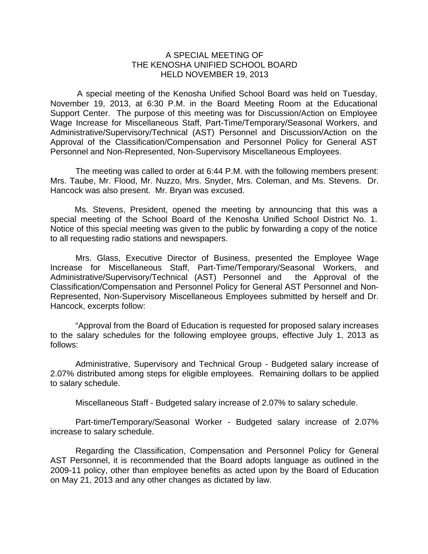## A SPECIAL MEETING OF THE KENOSHA UNIFIED SCHOOL BOARD HELD NOVEMBER 19, 2013

 A special meeting of the Kenosha Unified School Board was held on Tuesday, November 19, 2013, at 6:30 P.M. in the Board Meeting Room at the Educational Support Center. The purpose of this meeting was for Discussion/Action on Employee Wage Increase for Miscellaneous Staff, Part-Time/Temporary/Seasonal Workers, and Administrative/Supervisory/Technical (AST) Personnel and Discussion/Action on the Approval of the Classification/Compensation and Personnel Policy for General AST Personnel and Non-Represented, Non-Supervisory Miscellaneous Employees.

The meeting was called to order at 6:44 P.M. with the following members present: Mrs. Taube, Mr. Flood, Mr. Nuzzo, Mrs. Snyder, Mrs. Coleman, and Ms. Stevens. Dr. Hancock was also present. Mr. Bryan was excused.

Ms. Stevens, President, opened the meeting by announcing that this was a special meeting of the School Board of the Kenosha Unified School District No. 1. Notice of this special meeting was given to the public by forwarding a copy of the notice to all requesting radio stations and newspapers.

 Mrs. Glass, Executive Director of Business, presented the Employee Wage Increase for Miscellaneous Staff, Part-Time/Temporary/Seasonal Workers, and Administrative/Supervisory/Technical (AST) Personnel and the Approval of the Classification/Compensation and Personnel Policy for General AST Personnel and Non-Represented, Non-Supervisory Miscellaneous Employees submitted by herself and Dr. Hancock, excerpts follow:

 "Approval from the Board of Education is requested for proposed salary increases to the salary schedules for the following employee groups, effective July 1, 2013 as follows:

 Administrative, Supervisory and Technical Group - Budgeted salary increase of 2.07% distributed among steps for eligible employees. Remaining dollars to be applied to salary schedule.

Miscellaneous Staff - Budgeted salary increase of 2.07% to salary schedule.

 Part-time/Temporary/Seasonal Worker - Budgeted salary increase of 2.07% increase to salary schedule.

 Regarding the Classification, Compensation and Personnel Policy for General AST Personnel, it is recommended that the Board adopts language as outlined in the 2009-11 policy, other than employee benefits as acted upon by the Board of Education on May 21, 2013 and any other changes as dictated by law.